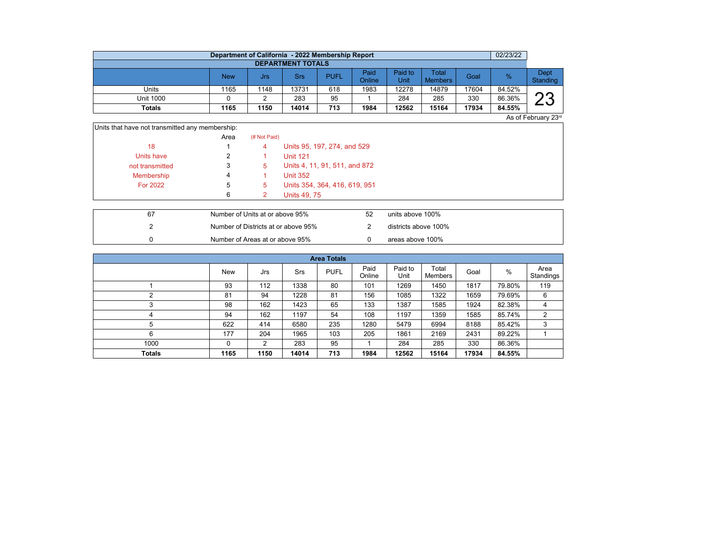|                          | Department of California - 2022 Membership Report |      |       |             |                |                 |                         |       | 02/23/22 |                  |  |  |  |  |
|--------------------------|---------------------------------------------------|------|-------|-------------|----------------|-----------------|-------------------------|-------|----------|------------------|--|--|--|--|
| <b>DEPARTMENT TOTALS</b> |                                                   |      |       |             |                |                 |                         |       |          |                  |  |  |  |  |
|                          | <b>New</b>                                        | Jrs  | Srs   | <b>PUFL</b> | Paid<br>Online | Paid to<br>Unit | Total<br><b>Members</b> | Goal  | $\%$     | Dept<br>Standing |  |  |  |  |
| Units                    | 1165                                              | 1148 | 13731 | 618         | 1983           | 12278           | 14879                   | 17604 | 84.52%   |                  |  |  |  |  |
| <b>Unit 1000</b>         |                                                   |      | 283   | 95          |                | 284             | 285                     | 330   | 86.36%   | ററ               |  |  |  |  |
| <b>Totals</b>            | 1165                                              | 1150 | 14014 | 713         | 1984           | 12562           | 15164                   | 17934 | 84.55%   |                  |  |  |  |  |

As of February 23rd

| Units that have not transmitted any membership: |      |              |                               |
|-------------------------------------------------|------|--------------|-------------------------------|
|                                                 | Area | (# Not Paid) |                               |
| 18                                              |      | 4            | Units 95, 197, 274, and 529   |
| Units have                                      |      |              | <b>Unit 121</b>               |
| not transmitted                                 | 3    | 5            | Units 4, 11, 91, 511, and 872 |
| Membership                                      | 4    |              | <b>Unit 352</b>               |
| <b>For 2022</b>                                 | 5    | 5            | Units 354, 364, 416, 619, 951 |
|                                                 | 6    |              | <b>Units 49, 75</b>           |
|                                                 |      |              |                               |

| 67 | Number of Units at or above 95%     | 52 | units above 100%     |
|----|-------------------------------------|----|----------------------|
|    | Number of Districts at or above 95% |    | districts above 100% |
|    | Number of Areas at or above 95%     |    | areas above 100%     |

|               | <b>Area Totals</b> |      |       |             |                |                 |                  |       |        |                   |  |  |  |
|---------------|--------------------|------|-------|-------------|----------------|-----------------|------------------|-------|--------|-------------------|--|--|--|
|               | <b>New</b>         | Jrs  | Srs   | <b>PUFL</b> | Paid<br>Online | Paid to<br>Unit | Total<br>Members | Goal  | %      | Area<br>Standings |  |  |  |
|               | 93                 | 112  | 1338  | 80          | 101            | 1269            | 1450             | 1817  | 79.80% | 119               |  |  |  |
| ኅ             | 81                 | 94   | 1228  | 81          | 156            | 1085            | 1322             | 1659  | 79.69% | 6                 |  |  |  |
| っ             | 98                 | 162  | 1423  | 65          | 133            | 1387            | 1585             | 1924  | 82.38% | 4                 |  |  |  |
| 4             | 94                 | 162  | 1197  | 54          | 108            | 1197            | 1359             | 1585  | 85.74% | 2                 |  |  |  |
| 5             | 622                | 414  | 6580  | 235         | 1280           | 5479            | 6994             | 8188  | 85.42% | 3                 |  |  |  |
| 6             | 177                | 204  | 1965  | 103         | 205            | 1861            | 2169             | 2431  | 89.22% |                   |  |  |  |
| 1000          | 0                  | 2    | 283   | 95          |                | 284             | 285              | 330   | 86.36% |                   |  |  |  |
| <b>Totals</b> | 1165               | 1150 | 14014 | 713         | 1984           | 12562           | 15164            | 17934 | 84.55% |                   |  |  |  |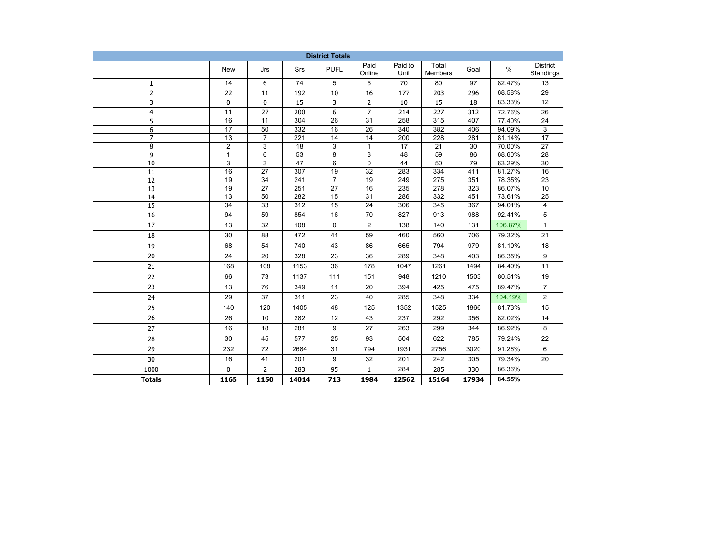| <b>District Totals</b> |                 |                 |                  |                 |                 |                  |                  |       |         |                              |
|------------------------|-----------------|-----------------|------------------|-----------------|-----------------|------------------|------------------|-------|---------|------------------------------|
|                        | <b>New</b>      | Jrs             | Srs              | <b>PUFL</b>     | Paid<br>Online  | Paid to<br>Unit  | Total<br>Members | Goal  | $\%$    | <b>District</b><br>Standings |
| 1                      | 14              | 6               | 74               | 5               | 5               | 70               | 80               | 97    | 82.47%  | 13                           |
| $\overline{2}$         | 22              | $11\,$          | 192              | 10              | 16              | 177              | 203              | 296   | 68.58%  | 29                           |
| 3                      | 0               | 0               | 15               | 3               | 2               | 10               | 15               | 18    | 83.33%  | 12                           |
| 4                      | 11              | 27              | 200              | 6               | $\overline{7}$  | 214              | 227              | 312   | 72.76%  | 26                           |
| 5                      | $\overline{16}$ | $\overline{11}$ | 304              | 26              | $\overline{31}$ | 258              | 315              | 407   | 77.40%  | 24                           |
| 6                      | 17              | $\overline{50}$ | 332              | 16              | $\overline{26}$ | 340              | 382              | 406   | 94.09%  | 3                            |
| $\overline{7}$         | $\overline{13}$ | $\overline{7}$  | 221              | $\overline{14}$ | $\overline{14}$ | $\overline{200}$ | 228              | 281   | 81.14%  | $\overline{17}$              |
| 8                      | $\overline{2}$  | 3               | $\overline{18}$  | 3               | $\mathbf{1}$    | 17               | $\overline{21}$  | 30    | 70.00%  | $\overline{27}$              |
| 9                      | $\mathbf{1}$    | 6               | 53               | 8               | 3               | 48               | 59               | 86    | 68.60%  | 28                           |
| 10                     | 3               | 3               | 47               | 6               | 0               | 44               | 50               | 79    | 63.29%  | 30                           |
| 11                     | 16              | 27              | 307              | 19              | 32              | 283              | 334              | 411   | 81.27%  | 16                           |
| 12                     | 19              | 34              | 241              | $\overline{7}$  | 19              | 249              | 275              | 351   | 78.35%  | 23                           |
| 13                     | 19              | 27              | 251              | 27              | 16              | 235              | 278              | 323   | 86.07%  | 10                           |
| 14                     | $\overline{13}$ | 50              | 282              | 15              | $\overline{31}$ | 286              | 332              | 451   | 73.61%  | $\overline{25}$              |
| $\overline{15}$        | $\overline{34}$ | $\overline{33}$ | $\overline{312}$ | 15              | $\overline{24}$ | 306              | 345              | 367   | 94.01%  | 4                            |
| 16                     | 94              | 59              | 854              | 16              | 70              | 827              | 913              | 988   | 92.41%  | 5                            |
| 17                     | 13              | 32              | 108              | 0               | $\overline{2}$  | 138              | 140              | 131   | 106.87% | $\mathbf{1}$                 |
| 18                     | 30              | 88              | 472              | 41              | 59              | 460              | 560              | 706   | 79.32%  | 21                           |
| 19                     | 68              | 54              | 740              | 43              | 86              | 665              | 794              | 979   | 81.10%  | 18                           |
| 20                     | 24              | 20              | 328              | 23              | 36              | 289              | 348              | 403   | 86.35%  | $\boldsymbol{9}$             |
| 21                     | 168             | 108             | 1153             | 36              | 178             | 1047             | 1261             | 1494  | 84.40%  | 11                           |
| 22                     | 66              | 73              | 1137             | 111             | 151             | 948              | 1210             | 1503  | 80.51%  | 19                           |
| 23                     | 13              | 76              | 349              | 11              | 20              | 394              | 425              | 475   | 89.47%  | $\overline{7}$               |
| 24                     | 29              | 37              | 311              | 23              | 40              | 285              | 348              | 334   | 104.19% | $\overline{2}$               |
| 25                     | 140             | 120             | 1405             | 48              | 125             | 1352             | 1525             | 1866  | 81.73%  | 15                           |
| 26                     | 26              | 10              | 282              | 12              | 43              | 237              | 292              | 356   | 82.02%  | 14                           |
| 27                     | 16              | 18              | 281              | 9               | 27              | 263              | 299              | 344   | 86.92%  | 8                            |
| 28                     | 30              | 45              | 577              | 25              | 93              | 504              | 622              | 785   | 79.24%  | 22                           |
| 29                     | 232             | 72              | 2684             | 31              | 794             | 1931             | 2756             | 3020  | 91.26%  | 6                            |
| 30                     | 16              | 41              | 201              | 9               | 32              | 201              | 242              | 305   | 79.34%  | 20                           |
| 1000                   | 0               | $\overline{2}$  | 283              | 95              | $\mathbf{1}$    | 284              | 285              | 330   | 86.36%  |                              |
| <b>Totals</b>          | 1165            | 1150            | 14014            | 713             | 1984            | 12562            | 15164            | 17934 | 84.55%  |                              |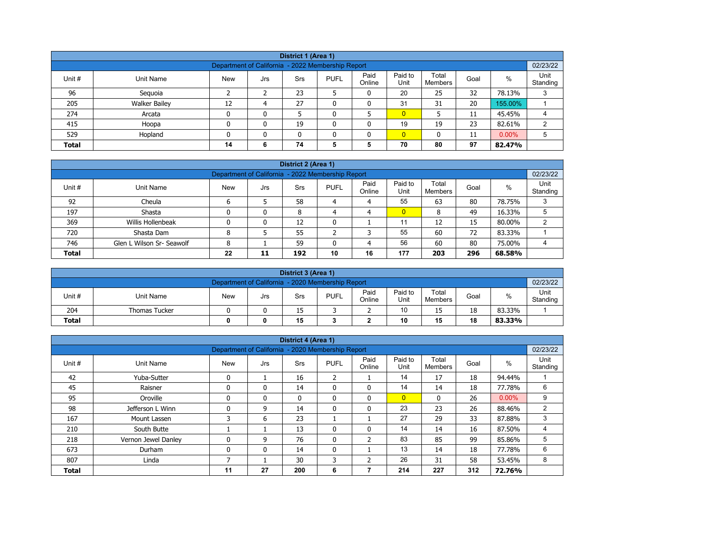| District 1 (Area 1)                                                                                                                                   |                                                                                 |    |   |    |   |   |                |    |    |         |   |  |  |
|-------------------------------------------------------------------------------------------------------------------------------------------------------|---------------------------------------------------------------------------------|----|---|----|---|---|----------------|----|----|---------|---|--|--|
| Department of California - 2022 Membership Report                                                                                                     |                                                                                 |    |   |    |   |   |                |    |    |         |   |  |  |
| Paid<br>Paid to<br>Total<br>$\%$<br>Unit #<br><b>PUFL</b><br>Goal<br>Unit Name<br><b>New</b><br><b>Srs</b><br>Jrs<br>Online<br>Unit<br><b>Members</b> |                                                                                 |    |   |    |   |   |                |    |    |         |   |  |  |
| 96                                                                                                                                                    | Seguoia                                                                         |    |   | 23 |   | 0 | 20             | 25 | 32 | 78.13%  | 3 |  |  |
| 205                                                                                                                                                   | <b>Walker Bailey</b>                                                            | 12 | 4 | 27 | ۵ | 0 | 31             | 31 | 20 | 155.00% |   |  |  |
| 274                                                                                                                                                   | Arcata                                                                          | 0  | 0 |    |   |   | $\overline{0}$ |    | 11 | 45.45%  | 4 |  |  |
| 415                                                                                                                                                   | Hoopa                                                                           | 0  | 0 | 19 |   | 0 | 19             | 19 | 23 | 82.61%  | 2 |  |  |
| 529                                                                                                                                                   | $\overline{0}$<br>$0.00\%$<br>Hopland<br>0<br>5<br>$\mathbf{0}$<br>11<br>n<br>0 |    |   |    |   |   |                |    |    |         |   |  |  |
| <b>Total</b>                                                                                                                                          | 70<br>97<br>74<br>80<br>5<br>5<br>82.47%<br>14<br>6                             |    |   |    |   |   |                |    |    |         |   |  |  |

|              | District 2 (Area 1)                                                                                                                                      |   |   |    |   |   |                |    |    |        |   |  |  |  |
|--------------|----------------------------------------------------------------------------------------------------------------------------------------------------------|---|---|----|---|---|----------------|----|----|--------|---|--|--|--|
|              | 02/23/22<br>Department of California - 2022 Membership Report                                                                                            |   |   |    |   |   |                |    |    |        |   |  |  |  |
| Unit #       | Paid<br>Paid to<br>Unit<br>Total<br>$\%$<br><b>PUFL</b><br><b>New</b><br>Unit Name<br>Goal<br><b>Srs</b><br>Jrs<br>Online<br>Unit<br>Standing<br>Members |   |   |    |   |   |                |    |    |        |   |  |  |  |
| 92           | Cheula                                                                                                                                                   |   |   | 58 | 4 | 4 | 55             | 63 | 80 | 78.75% | 3 |  |  |  |
| 197          | Shasta                                                                                                                                                   |   | 0 | 8  | 4 | 4 | $\overline{0}$ | 8  | 49 | 16.33% |   |  |  |  |
| 369          | Willis Hollenbeak                                                                                                                                        |   | 0 | 12 | 0 |   | 11             | 12 | 15 | 80.00% | ົ |  |  |  |
| 720          | Shasta Dam                                                                                                                                               | 8 |   | 55 |   | っ | 55             | 60 | 72 | 83.33% |   |  |  |  |
| 746          | Glen L Wilson Sr- Seawolf                                                                                                                                | 8 |   | 59 |   | 4 | 56             | 60 | 80 | 75.00% | 4 |  |  |  |
| <b>Total</b> | 177<br>22<br>10<br>296<br>16<br>203<br>192<br>68.58%<br>11                                                                                               |   |   |    |   |   |                |    |    |        |   |  |  |  |

|                                                               | District 3 (Area 1)                                                                                                                                   |  |  |    |  |   |    |    |    |        |  |  |  |
|---------------------------------------------------------------|-------------------------------------------------------------------------------------------------------------------------------------------------------|--|--|----|--|---|----|----|----|--------|--|--|--|
| 02/23/22<br>Department of California - 2020 Membership Report |                                                                                                                                                       |  |  |    |  |   |    |    |    |        |  |  |  |
| Unit#                                                         | Paid<br>Unit<br>Paid to<br>Total<br>%<br><b>PUFL</b><br><b>New</b><br>Unit Name<br>Goal<br>Srs<br>Jrs<br>Online<br>Unit<br>Standing<br><b>Members</b> |  |  |    |  |   |    |    |    |        |  |  |  |
| 204                                                           | <b>Thomas Tucker</b>                                                                                                                                  |  |  | 15 |  | - | 10 | 15 | 18 | 83.33% |  |  |  |
| 15<br>10<br>18<br><b>Total</b><br>15<br>83.33%<br>0           |                                                                                                                                                       |  |  |    |  |   |    |    |    |        |  |  |  |

|              |                     |                                                   |     | District 4 (Area 1) |                |                |                 |                  |      |          |                  |
|--------------|---------------------|---------------------------------------------------|-----|---------------------|----------------|----------------|-----------------|------------------|------|----------|------------------|
|              |                     | Department of California - 2020 Membership Report |     |                     |                |                |                 |                  |      |          | 02/23/22         |
| Unit #       | <b>Unit Name</b>    | <b>New</b>                                        | Jrs | Srs                 | <b>PUFL</b>    | Paid<br>Online | Paid to<br>Unit | Total<br>Members | Goal | $\%$     | Unit<br>Standing |
| 42           | Yuba-Sutter         | $\mathbf{0}$                                      |     | 16                  | $\overline{2}$ |                | 14              | 17               | 18   | 94.44%   |                  |
| 45           | Raisner             | $\mathbf{0}$                                      | 0   | 14                  | 0              | $\mathbf{0}$   | 14              | 14               | 18   | 77.78%   | 6                |
| 95           | Oroville            | $\mathbf{0}$                                      | 0   | $\mathbf{0}$        | $\mathbf{0}$   | $\mathbf{0}$   | $\overline{0}$  | $\mathbf{0}$     | 26   | $0.00\%$ | 9                |
| 98           | Jefferson L Winn    | $\Omega$                                          | 9   | 14                  | 0              | 0              | 23              | 23               | 26   | 88.46%   | $\overline{2}$   |
| 167          | Mount Lassen        | 3                                                 | 6   | 23                  |                |                | 27              | 29               | 33   | 87.88%   | 3                |
| 210          | South Butte         |                                                   |     | 13                  | 0              | $\mathbf{0}$   | 14              | 14               | 16   | 87.50%   | 4                |
| 218          | Vernon Jewel Danley |                                                   | 9   | 76                  | 0              | 2              | 83              | 85               | 99   | 85.86%   | 5                |
| 673          | Durham              | $\mathbf{0}$                                      | 0   | 14                  | $\mathbf{0}$   |                | 13              | 14               | 18   | 77.78%   | 6                |
| 807          | Linda               |                                                   |     | 30                  | 3              | 2              | 26              | 31               | 58   | 53.45%   | 8                |
| <b>Total</b> |                     | 11                                                | 27  | 200                 | 6              |                | 214             | 227              | 312  | 72.76%   |                  |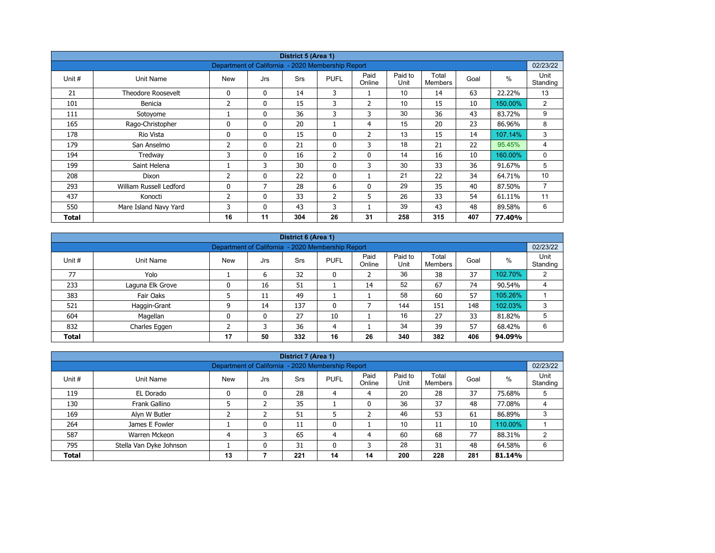|        |                           |                                                   |              | District 5 (Area 1) |                |                |                 |                         |      |         |                  |
|--------|---------------------------|---------------------------------------------------|--------------|---------------------|----------------|----------------|-----------------|-------------------------|------|---------|------------------|
|        |                           | Department of California - 2020 Membership Report |              |                     |                |                |                 |                         |      |         | 02/23/22         |
| Unit # | Unit Name                 | <b>New</b>                                        | Jrs          | <b>Srs</b>          | <b>PUFL</b>    | Paid<br>Online | Paid to<br>Unit | Total<br><b>Members</b> | Goal | $\%$    | Unit<br>Standing |
| 21     | <b>Theodore Roosevelt</b> | 0                                                 | $\mathbf{0}$ | 14                  | 3              |                | 10              | 14                      | 63   | 22.22%  | 13               |
| 101    | Benicia                   | 2                                                 | 0            | 15                  | 3              | $\overline{2}$ | 10              | 15                      | 10   | 150.00% | $\overline{2}$   |
| 111    | Sotoyome                  |                                                   | $\mathbf{0}$ | 36                  | 3              | 3              | 30              | 36                      | 43   | 83.72%  | 9                |
| 165    | Rago-Christopher          | $\Omega$                                          | $\mathbf{0}$ | 20                  |                | 4              | 15              | 20                      | 23   | 86.96%  | 8                |
| 178    | Rio Vista                 | 0                                                 | $\mathbf{0}$ | 15                  | 0              | $\overline{2}$ | 13              | 15                      | 14   | 107.14% | 3                |
| 179    | San Anselmo               | 2                                                 | $\mathbf{0}$ | 21                  | $\mathbf{0}$   | 3              | 18              | 21                      | 22   | 95.45%  | 4                |
| 194    | Tredway                   | 3                                                 | 0            | 16                  | $\overline{2}$ | $\mathbf 0$    | 14              | 16                      | 10   | 160.00% | 0                |
| 199    | Saint Helena              |                                                   | 3            | 30                  | $\mathbf{0}$   | 3              | 30              | 33                      | 36   | 91.67%  | 5                |
| 208    | Dixon                     | 2                                                 | 0            | 22                  | $\mathbf{0}$   |                | 21              | 22                      | 34   | 64.71%  | 10               |
| 293    | William Russell Ledford   | 0                                                 | 7            | 28                  | 6              | 0              | 29              | 35                      | 40   | 87.50%  | $\overline{7}$   |
| 437    | Konocti                   | 2                                                 | $\mathbf{0}$ | 33                  | $\overline{2}$ | 5              | 26              | 33                      | 54   | 61.11%  | 11               |
| 550    | Mare Island Navy Yard     | 3                                                 | $\mathbf{0}$ | 43                  | 3              |                | 39              | 43                      | 48   | 89.58%  | 6                |
| Total  |                           | 16                                                | 11           | 304                 | 26             | 31             | 258             | 315                     | 407  | 77.40%  |                  |

|              | District 6 (Area 1)                                                                                                                                   |    |    |     |    |    |     |     |     |         |   |  |  |  |
|--------------|-------------------------------------------------------------------------------------------------------------------------------------------------------|----|----|-----|----|----|-----|-----|-----|---------|---|--|--|--|
|              | 02/23/22<br>Department of California - 2020 Membership Report                                                                                         |    |    |     |    |    |     |     |     |         |   |  |  |  |
| Unit #       | Paid<br>Paid to<br>Total<br>Unit<br>%<br><b>PUFL</b><br>Goal<br><b>Srs</b><br>Unit Name<br><b>New</b><br>Jrs<br>Unit<br>Standing<br>Online<br>Members |    |    |     |    |    |     |     |     |         |   |  |  |  |
| 77           | Yolo                                                                                                                                                  |    | 6  | 32  | 0  |    | 36  | 38  | 37  | 102.70% | 2 |  |  |  |
| 233          | Laguna Elk Grove                                                                                                                                      | 0  | 16 | 51  |    | 14 | 52  | 67  | 74  | 90.54%  | 4 |  |  |  |
| 383          | Fair Oaks                                                                                                                                             |    | 11 | 49  |    |    | 58  | 60  | 57  | 105.26% |   |  |  |  |
| 521          | Haggin-Grant                                                                                                                                          | ٩  | 14 | 137 | 0  |    | 144 | 151 | 148 | 102.03% | 3 |  |  |  |
| 604          | Magellan                                                                                                                                              | 0  | 0  | 27  | 10 |    | 16  | 27  | 33  | 81.82%  | 5 |  |  |  |
| 832          | Charles Eggen                                                                                                                                         |    |    | 36  | 4  |    | 34  | 39  | 57  | 68.42%  | 6 |  |  |  |
| <b>Total</b> |                                                                                                                                                       | 17 | 50 | 332 | 16 | 26 | 340 | 382 | 406 | 94.09%  |   |  |  |  |

|                                                                                                                                                             |                                                                                          |                                                   |   | District 7 (Area 1) |    |    |     |     |     |         |          |  |
|-------------------------------------------------------------------------------------------------------------------------------------------------------------|------------------------------------------------------------------------------------------|---------------------------------------------------|---|---------------------|----|----|-----|-----|-----|---------|----------|--|
|                                                                                                                                                             |                                                                                          | Department of California - 2020 Membership Report |   |                     |    |    |     |     |     |         | 02/23/22 |  |
| Unit<br>Paid<br>Paid to<br>Total<br>$\%$<br>Unit #<br><b>New</b><br>Unit Name<br><b>PUFL</b><br>Goal<br>Srs<br>Jrs<br>Online<br>Unit<br>Standing<br>Members |                                                                                          |                                                   |   |                     |    |    |     |     |     |         |          |  |
| 119                                                                                                                                                         | EL Dorado                                                                                |                                                   | 0 | 28                  | 4  | 4  | 20  | 28  | 37  | 75.68%  |          |  |
| 130                                                                                                                                                         | Frank Gallino                                                                            |                                                   |   | 35                  |    | 0  | 36  | 37  | 48  | 77.08%  | 4        |  |
| 169                                                                                                                                                         | Alyn W Butler                                                                            |                                                   |   | 51                  |    |    | 46  | 53  | 61  | 86.89%  | 3        |  |
| 264                                                                                                                                                         | James E Fowler                                                                           |                                                   | 0 | 11                  | 0  |    | 10  | 11  | 10  | 110.00% |          |  |
| 587                                                                                                                                                         | Warren Mckeon                                                                            |                                                   | 3 | 65                  | 4  | 4  | 60  | 68  | 77  | 88.31%  |          |  |
| 795                                                                                                                                                         | 28<br>48<br>Stella Van Dyke Johnson<br>31<br>31<br>0<br>3<br>64.58%<br>6<br>$\mathbf{0}$ |                                                   |   |                     |    |    |     |     |     |         |          |  |
| <b>Total</b>                                                                                                                                                |                                                                                          | 13                                                |   | 221                 | 14 | 14 | 200 | 228 | 281 | 81.14%  |          |  |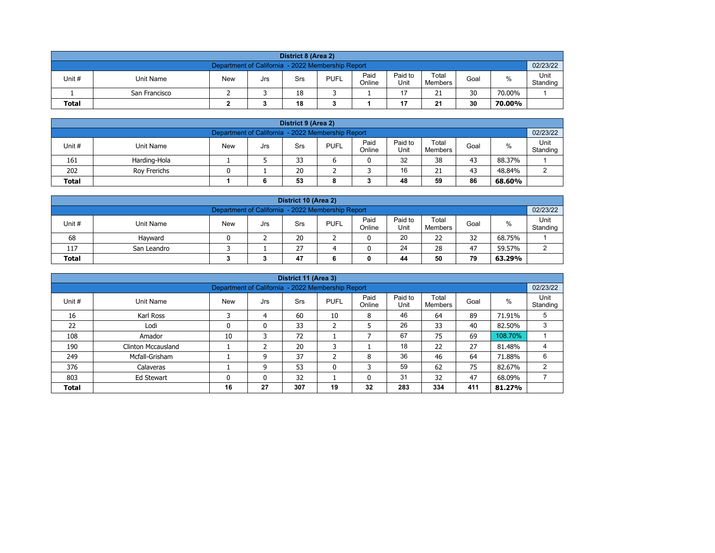|                                                                                                                                                         | District 8 (Area 2)                                           |  |  |    |  |  |    |    |    |        |  |  |  |  |
|---------------------------------------------------------------------------------------------------------------------------------------------------------|---------------------------------------------------------------|--|--|----|--|--|----|----|----|--------|--|--|--|--|
|                                                                                                                                                         | 02/23/22<br>Department of California - 2022 Membership Report |  |  |    |  |  |    |    |    |        |  |  |  |  |
| Paid<br>Paid to<br>Total<br><b>PUFL</b><br>%<br>Unit #<br>Unit Name<br>Goal<br><b>New</b><br>Srs<br>Jrs<br>Unit<br>Online<br>Standing<br><b>Members</b> |                                                               |  |  |    |  |  |    |    |    |        |  |  |  |  |
|                                                                                                                                                         | San Francisco                                                 |  |  | 18 |  |  | 17 | 21 | 30 | 70.00% |  |  |  |  |
| 30<br>18<br>17<br>21<br><b>Total</b><br>70.00%                                                                                                          |                                                               |  |  |    |  |  |    |    |    |        |  |  |  |  |

| District 9 (Area 2)                                                                                                                              |              |  |        |    |   |  |    |    |    |        |   |  |  |
|--------------------------------------------------------------------------------------------------------------------------------------------------|--------------|--|--------|----|---|--|----|----|----|--------|---|--|--|
| Department of California - 2022 Membership Report                                                                                                |              |  |        |    |   |  |    |    |    |        |   |  |  |
| Paid<br>Paid to<br>Total<br>Unit #<br><b>PUFL</b><br>%<br><b>New</b><br>Unit Name<br>Goal<br>Srs<br>Jrs<br>Standing<br>Online<br>Unit<br>Members |              |  |        |    |   |  |    |    |    |        |   |  |  |
| 161                                                                                                                                              | Harding-Hola |  |        | 33 |   |  | 32 | 38 | 43 | 88.37% |   |  |  |
| 202                                                                                                                                              | Rov Frerichs |  |        | 20 |   |  | 16 | 21 | 43 | 48.84% | ົ |  |  |
| <b>Total</b>                                                                                                                                     |              |  | e<br>o | 53 | 8 |  | 48 | 59 | 86 | 68.60% |   |  |  |

| District 10 (Area 2)                                                                                                                            |             |  |  |    |  |   |    |    |    |        |  |  |  |
|-------------------------------------------------------------------------------------------------------------------------------------------------|-------------|--|--|----|--|---|----|----|----|--------|--|--|--|
| 02/23/22<br>Department of California - 2022 Membership Report                                                                                   |             |  |  |    |  |   |    |    |    |        |  |  |  |
| Paid<br>Paid to<br>Total<br>%<br>Unit#<br><b>PUFL</b><br><b>New</b><br>Unit Name<br>Goal<br>Srs<br>Jrs<br>Online<br>Standing<br>Unit<br>Members |             |  |  |    |  |   |    |    |    |        |  |  |  |
| 68                                                                                                                                              | Havward     |  |  | 20 |  | 0 | 20 | 22 | 32 | 68.75% |  |  |  |
| 117                                                                                                                                             | San Leandro |  |  | 27 |  |   | 24 | 28 | 47 | 59.57% |  |  |  |
| 79<br>50<br><b>Total</b><br>47<br>44<br>63.29%<br>0                                                                                             |             |  |  |    |  |   |    |    |    |        |  |  |  |

|                                                               |                                                                                                                                                  |    |              | District 11 (Area 3) |    |    |     |     |     |         |                |  |  |  |  |
|---------------------------------------------------------------|--------------------------------------------------------------------------------------------------------------------------------------------------|----|--------------|----------------------|----|----|-----|-----|-----|---------|----------------|--|--|--|--|
|                                                               | 02/23/22<br>Department of California - 2022 Membership Report                                                                                    |    |              |                      |    |    |     |     |     |         |                |  |  |  |  |
| Unit #                                                        | Paid<br>Paid to<br>Total<br>$\%$<br><b>PUFL</b><br>Goal<br>Unit Name<br><b>New</b><br><b>Srs</b><br>Jrs<br>Unit<br>Online<br>Standing<br>Members |    |              |                      |    |    |     |     |     |         |                |  |  |  |  |
| 16                                                            | Karl Ross                                                                                                                                        | 3  | 4            | 60                   | 10 | 8  | 46  | 64  | 89  | 71.91%  | 5              |  |  |  |  |
| 22                                                            | Lodi                                                                                                                                             |    | $\mathbf{0}$ | 33                   | 2  | 5  | 26  | 33  | 40  | 82.50%  | 3              |  |  |  |  |
| 108                                                           | Amador                                                                                                                                           | 10 | 3            | 72                   |    | -  | 67  | 75  | 69  | 108.70% |                |  |  |  |  |
| 190                                                           | Clinton Mccausland                                                                                                                               |    | 2            | 20                   | 3  |    | 18  | 22  | 27  | 81.48%  | 4              |  |  |  |  |
| 249                                                           | Mcfall-Grisham                                                                                                                                   |    | 9            | 37                   | C. | 8  | 36  | 46  | 64  | 71.88%  | 6              |  |  |  |  |
| 376                                                           | Calaveras                                                                                                                                        |    | 9            | 53                   | 0  | 3  | 59  | 62  | 75  | 82.67%  | $\overline{2}$ |  |  |  |  |
| 32<br>31<br>32<br>47<br>803<br>0<br>0<br>68.09%<br>Ed Stewart |                                                                                                                                                  |    |              |                      |    |    |     |     |     |         |                |  |  |  |  |
| <b>Total</b>                                                  |                                                                                                                                                  | 16 | 27           | 307                  | 19 | 32 | 283 | 334 | 411 | 81.27%  |                |  |  |  |  |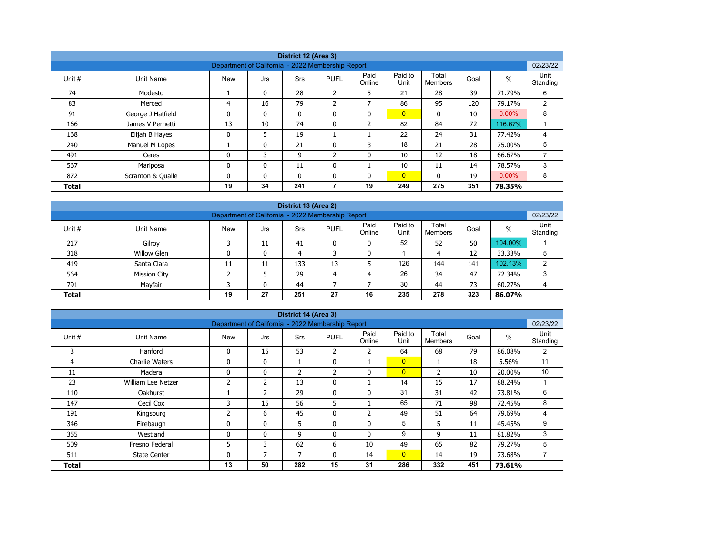| District 12 (Area 3) |                   |                                                   |              |              |                |                |                 |                         |      |          |                  |  |  |
|----------------------|-------------------|---------------------------------------------------|--------------|--------------|----------------|----------------|-----------------|-------------------------|------|----------|------------------|--|--|
|                      |                   | Department of California - 2022 Membership Report |              |              |                |                |                 |                         |      |          | 02/23/22         |  |  |
| Unit #               | Unit Name         | <b>New</b>                                        | Jrs          | <b>Srs</b>   | <b>PUFL</b>    | Paid<br>Online | Paid to<br>Unit | Total<br><b>Members</b> | Goal | %        | Unit<br>Standing |  |  |
| 74                   | Modesto           |                                                   | $\mathbf{0}$ | 28           | $\overline{2}$ | 5              | 21              | 28                      | 39   | 71.79%   | 6                |  |  |
| 83                   | Merced            | 4                                                 | 16           | 79           | 2              | $\overline{ }$ | 86              | 95                      | 120  | 79.17%   | 2                |  |  |
| 91                   | George J Hatfield | $\mathbf{0}$                                      | 0            | $\mathbf{0}$ | 0              | $\mathbf{0}$   | $\overline{0}$  | $\mathbf{0}$            | 10   | $0.00\%$ | 8                |  |  |
| 166                  | James V Pernetti  | 13                                                | 10           | 74           | 0              | $\overline{2}$ | 82              | 84                      | 72   | 116.67%  |                  |  |  |
| 168                  | Elijah B Hayes    | $\mathbf 0$                                       | 5            | 19           |                |                | 22              | 24                      | 31   | 77.42%   | 4                |  |  |
| 240                  | Manuel M Lopes    |                                                   | 0            | 21           | 0              | 3              | 18              | 21                      | 28   | 75.00%   | 5                |  |  |
| 491                  | Ceres             | $\mathbf{0}$                                      | 3            | 9            | $\overline{2}$ | $\mathbf{0}$   | 10              | 12                      | 18   | 66.67%   |                  |  |  |
| 567                  | Mariposa          | 0                                                 | 0            | 11           | 0              |                | 10              | 11                      | 14   | 78.57%   | 3                |  |  |
| 872                  | Scranton & Qualle | $\mathbf{0}$                                      | $\mathbf{0}$ | $\mathbf{0}$ | $\mathbf{0}$   | $\mathbf{0}$   | $\overline{0}$  | $\mathbf{0}$            | 19   | $0.00\%$ | 8                |  |  |
| <b>Total</b>         |                   | 19                                                | 34           | 241          | 7              | 19             | 249             | 275                     | 351  | 78.35%   |                  |  |  |

| District 13 (Area 2) |                                                                                                                                        |    |    |     |    |    |     |     |     |         |   |  |  |  |  |
|----------------------|----------------------------------------------------------------------------------------------------------------------------------------|----|----|-----|----|----|-----|-----|-----|---------|---|--|--|--|--|
|                      | 02/23/22<br>Department of California - 2022 Membership Report                                                                          |    |    |     |    |    |     |     |     |         |   |  |  |  |  |
| Unit #               | Paid<br>Paid to<br>Total<br>%<br><b>PUFL</b><br>Unit Name<br><b>New</b><br>Srs<br>Goal<br>Jrs<br>Unit<br>Online<br>Standing<br>Members |    |    |     |    |    |     |     |     |         |   |  |  |  |  |
| 217                  | Gilroy                                                                                                                                 |    | 11 | 41  | 0  | 0  | 52  | 52  | 50  | 104.00% |   |  |  |  |  |
| 318                  | <b>Willow Glen</b>                                                                                                                     | 0  | 0  | 4   |    | 0  |     | 4   | 12  | 33.33%  |   |  |  |  |  |
| 419                  | Santa Clara                                                                                                                            | 11 | 11 | 133 | 13 |    | 126 | 144 | 141 | 102.13% | ົ |  |  |  |  |
| 564                  | <b>Mission City</b>                                                                                                                    |    |    | 29  | 4  | 4  | 26  | 34  | 47  | 72.34%  | 3 |  |  |  |  |
| 791                  | 30<br>Mayfair<br>73<br>$\mathbf{0}$<br>44<br>44<br>60.27%                                                                              |    |    |     |    |    |     |     |     |         |   |  |  |  |  |
| <b>Total</b>         |                                                                                                                                        | 19 | 27 | 251 | 27 | 16 | 235 | 278 | 323 | 86.07%  |   |  |  |  |  |

| District 14 (Area 3) |                                                                                   |                |                |                |              |                |                |                |      |        |                  |  |  |  |
|----------------------|-----------------------------------------------------------------------------------|----------------|----------------|----------------|--------------|----------------|----------------|----------------|------|--------|------------------|--|--|--|
|                      | 02/23/22<br>Department of California - 2022 Membership Report<br>Paid to<br>Total |                |                |                |              |                |                |                |      |        |                  |  |  |  |
| Unit #               | Unit Name                                                                         | <b>New</b>     | Jrs            | Srs            | <b>PUFL</b>  | Paid<br>Online | Unit           | <b>Members</b> | Goal | $\%$   | Unit<br>Standing |  |  |  |
| 3                    | Hanford                                                                           | 0              | 15             | 53             | 2            | $\overline{2}$ | 64             | 68             | 79   | 86.08% | 2                |  |  |  |
| 4                    | <b>Charlie Waters</b>                                                             | 0              | $\mathbf{0}$   | 1              | $\mathbf{0}$ |                | $\overline{0}$ |                | 18   | 5.56%  | 11               |  |  |  |
| 11                   | Madera                                                                            | 0              | 0              | $\overline{2}$ | 2            | $\mathbf 0$    | $\overline{0}$ | 2              | 10   | 20.00% | 10               |  |  |  |
| 23                   | William Lee Netzer                                                                | $\overline{2}$ | $\overline{2}$ | 13             | $\mathbf{0}$ |                | 14             | 15             | 17   | 88.24% |                  |  |  |  |
| 110                  | Oakhurst                                                                          |                | $\overline{2}$ | 29             | $\mathbf{0}$ | $\mathbf{0}$   | 31             | 31             | 42   | 73.81% | 6                |  |  |  |
| 147                  | Cecil Cox                                                                         | 3              | 15             | 56             | 5            |                | 65             | 71             | 98   | 72.45% | 8                |  |  |  |
| 191                  | Kingsburg                                                                         | 2              | 6              | 45             | 0            | $\overline{2}$ | 49             | 51             | 64   | 79.69% | 4                |  |  |  |
| 346                  | Firebaugh                                                                         | 0              | 0              | 5              | 0            | $\mathbf 0$    | 5              | 5              | 11   | 45.45% | 9                |  |  |  |
| 355                  | Westland                                                                          | 0              | $\mathbf{0}$   | 9              | $\mathbf{0}$ | $\mathbf{0}$   | 9              | 9              | 11   | 81.82% | 3                |  |  |  |
| 509                  | Fresno Federal                                                                    | 5              | 3              | 62             | 6            | 10             | 49             | 65             | 82   | 79.27% | 5                |  |  |  |
| 511                  | <b>State Center</b>                                                               | 0              | 7              | 7              | $\mathbf{0}$ | 14             | $\overline{0}$ | 14             | 19   | 73.68% | 7                |  |  |  |
| <b>Total</b>         |                                                                                   | 13             | 50             | 282            | 15           | 31             | 286            | 332            | 451  | 73.61% |                  |  |  |  |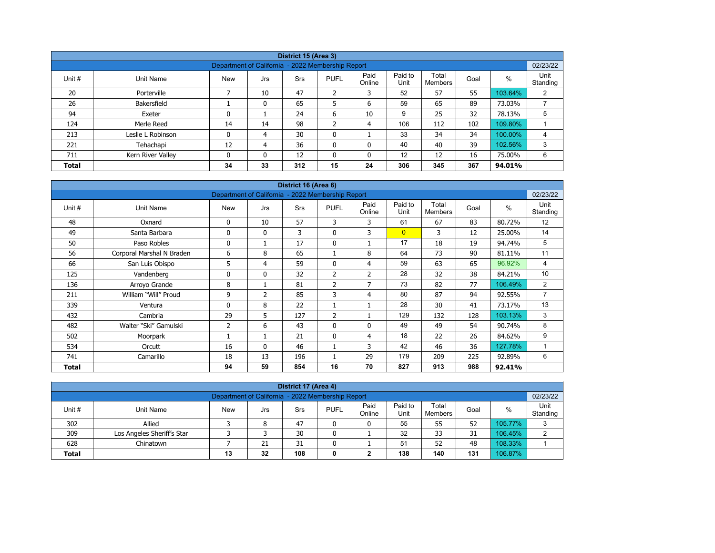|              |                                                                                                                                                           |                                                   |    | District 15 (Area 3) |                |                |     |     |     |         |          |  |  |  |  |
|--------------|-----------------------------------------------------------------------------------------------------------------------------------------------------------|---------------------------------------------------|----|----------------------|----------------|----------------|-----|-----|-----|---------|----------|--|--|--|--|
|              |                                                                                                                                                           | Department of California - 2022 Membership Report |    |                      |                |                |     |     |     |         | 02/23/22 |  |  |  |  |
| Unit #       | Paid<br>Paid to<br>Total<br>%<br><b>PUFL</b><br>Goal<br>Unit Name<br><b>New</b><br><b>Srs</b><br>Jrs<br>Unit<br>Online<br><b>Members</b><br>Standing<br>⇁ |                                                   |    |                      |                |                |     |     |     |         |          |  |  |  |  |
| 20           | Porterville                                                                                                                                               |                                                   | 10 | 47                   | $\overline{2}$ | 3              | 52  | 57  | 55  | 103.64% | 2        |  |  |  |  |
| 26           | Bakersfield                                                                                                                                               |                                                   |    | 65                   | 5              | 6              | 59  | 65  | 89  | 73.03%  |          |  |  |  |  |
| 94           | Exeter                                                                                                                                                    | 0                                                 |    | 24                   | 6              | 10             | 9   | 25  | 32  | 78.13%  | 5        |  |  |  |  |
| 124          | Merle Reed                                                                                                                                                | 14                                                | 14 | 98                   | $\overline{2}$ | $\overline{4}$ | 106 | 112 | 102 | 109.80% |          |  |  |  |  |
| 213          | Leslie L Robinson                                                                                                                                         | 0                                                 | 4  | 30                   | 0              |                | 33  | 34  | 34  | 100.00% | 4        |  |  |  |  |
| 221          | Tehachapi                                                                                                                                                 | 12                                                | 4  | 36                   | 0              | 0              | 40  | 40  | 39  | 102.56% | 3        |  |  |  |  |
| 711          | Kern River Valley                                                                                                                                         | 0                                                 | 0  | 12                   | 0              | 0              | 12  | 12  | 16  | 75.00%  | 6        |  |  |  |  |
| <b>Total</b> |                                                                                                                                                           | 34                                                | 33 | 312                  | 15             | 24             | 306 | 345 | 367 | 94.01%  |          |  |  |  |  |

| District 16 (Area 6) |                           |                                                   |              |     |                |                |                 |                         |      |         |                  |  |  |
|----------------------|---------------------------|---------------------------------------------------|--------------|-----|----------------|----------------|-----------------|-------------------------|------|---------|------------------|--|--|
|                      |                           | Department of California - 2022 Membership Report |              |     |                |                |                 |                         |      |         | 02/23/22         |  |  |
| Unit #               | Unit Name                 | <b>New</b>                                        | Jrs          | Srs | <b>PUFL</b>    | Paid<br>Online | Paid to<br>Unit | Total<br><b>Members</b> | Goal | $\%$    | Unit<br>Standing |  |  |
| 48                   | Oxnard                    | 0                                                 | 10           | 57  | 3              | 3              | 61              | 67                      | 83   | 80.72%  | 12               |  |  |
| 49                   | Santa Barbara             | 0                                                 | $\mathbf{0}$ | 3   | $\mathbf 0$    | 3              | $\overline{0}$  | 3                       | 12   | 25.00%  | 14               |  |  |
| 50                   | Paso Robles               | 0                                                 | 1            | 17  | $\mathbf 0$    |                | 17              | 18                      | 19   | 94.74%  | 5                |  |  |
| 56                   | Corporal Marshal N Braden | 6                                                 | 8            | 65  |                | 8              | 64              | 73                      | 90   | 81.11%  | 11               |  |  |
| 66                   | San Luis Obispo           | 5                                                 | 4            | 59  | $\mathbf{0}$   | 4              | 59              | 63                      | 65   | 96.92%  | 4                |  |  |
| 125                  | Vandenberg                | 0                                                 | $\mathbf{0}$ | 32  | $\overline{2}$ | $\overline{2}$ | 28              | 32                      | 38   | 84.21%  | 10               |  |  |
| 136                  | Arroyo Grande             | 8                                                 | 1            | 81  | $\overline{2}$ | 7              | 73              | 82                      | 77   | 106.49% | $\overline{2}$   |  |  |
| 211                  | William "Will" Proud      | 9                                                 | 2            | 85  | 3              | $\overline{4}$ | 80              | 87                      | 94   | 92.55%  | 7                |  |  |
| 339                  | Ventura                   | 0                                                 | 8            | 22  |                |                | 28              | 30                      | 41   | 73.17%  | 13               |  |  |
| 432                  | Cambria                   | 29                                                | 5            | 127 | 2              |                | 129             | 132                     | 128  | 103.13% | 3                |  |  |
| 482                  | Walter "Ski" Gamulski     | $\overline{2}$                                    | 6            | 43  | $\mathbf{0}$   | $\mathbf{0}$   | 49              | 49                      | 54   | 90.74%  | 8                |  |  |
| 502                  | Moorpark                  |                                                   | 1            | 21  | $\mathbf 0$    | 4              | 18              | 22                      | 26   | 84.62%  | 9                |  |  |
| 534                  | Orcutt                    | 16                                                | $\mathbf{0}$ | 46  |                | 3              | 42              | 46                      | 36   | 127.78% | 1                |  |  |
| 741                  | Camarillo                 | 18                                                | 13           | 196 |                | 29             | 179             | 209                     | 225  | 92.89%  | 6                |  |  |
| Total                |                           | 94                                                | 59           | 854 | 16             | 70             | 827             | 913                     | 988  | 92.41%  |                  |  |  |

| District 17 (Area 4)                                                                                                                            |                            |  |    |    |   |   |    |    |    |         |   |  |  |
|-------------------------------------------------------------------------------------------------------------------------------------------------|----------------------------|--|----|----|---|---|----|----|----|---------|---|--|--|
| 02/23/22<br>Department of California - 2022 Membership Report                                                                                   |                            |  |    |    |   |   |    |    |    |         |   |  |  |
| Paid<br>Paid to<br>Total<br>Unit#<br><b>PUFL</b><br>%<br><b>New</b><br>Goal<br>Unit Name<br>Srs<br>Jrs<br>Standing<br>Online<br>Unit<br>Members |                            |  |    |    |   |   |    |    |    |         |   |  |  |
| 302                                                                                                                                             | Allied                     |  | 8  | 47 |   | 0 | 55 | 55 | 52 | 105.77% | 3 |  |  |
| 309                                                                                                                                             | Los Angeles Sheriff's Star |  |    | 30 | 0 |   | 32 | 33 | 31 | 106.45% | ົ |  |  |
| 628                                                                                                                                             | Chinatown                  |  | 21 | 31 |   |   | 51 | 52 | 48 | 108.33% |   |  |  |
| 138<br>106.87%<br>108<br>131<br>32<br>140<br>13<br><b>Total</b><br>0                                                                            |                            |  |    |    |   |   |    |    |    |         |   |  |  |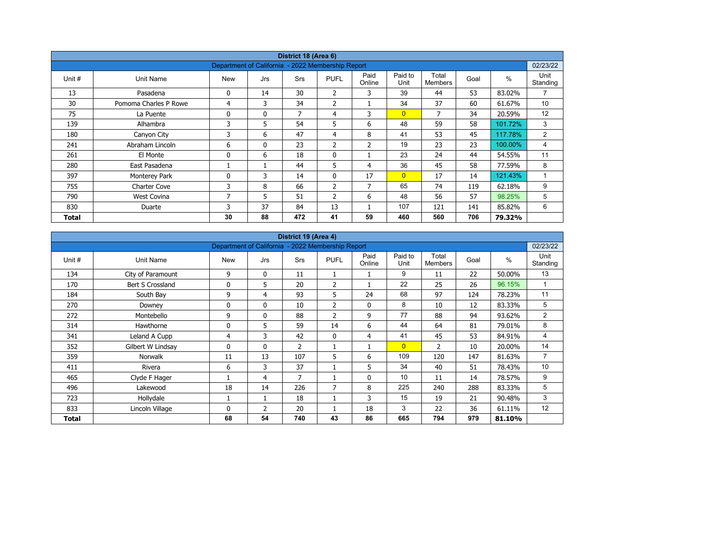| District 18 (Area 6) |                       |                                                   |              |            |                |                |                 |                         |      |         |                  |  |  |
|----------------------|-----------------------|---------------------------------------------------|--------------|------------|----------------|----------------|-----------------|-------------------------|------|---------|------------------|--|--|
|                      |                       | Department of California - 2022 Membership Report |              |            |                |                |                 |                         |      |         | 02/23/22         |  |  |
| Unit #               | Unit Name             | <b>New</b>                                        | Jrs          | <b>Srs</b> | <b>PUFL</b>    | Paid<br>Online | Paid to<br>Unit | Total<br><b>Members</b> | Goal | $\%$    | Unit<br>Standing |  |  |
| 13                   | Pasadena              | 0                                                 | 14           | 30         | $\overline{2}$ | 3              | 39              | 44                      | 53   | 83.02%  | 7                |  |  |
| 30                   | Pomoma Charles P Rowe | 4                                                 | 3            | 34         | 2              |                | 34              | 37                      | 60   | 61.67%  | 10               |  |  |
| 75                   | La Puente             | 0                                                 | $\mathbf{0}$ | 7          | 4              | 3              | $\overline{0}$  | 7                       | 34   | 20.59%  | 12               |  |  |
| 139                  | Alhambra              | 3                                                 | 5            | 54         | 5              | 6              | 48              | 59                      | 58   | 101.72% | 3                |  |  |
| 180                  | Canyon City           | 3                                                 | 6            | 47         | 4              | 8              | 41              | 53                      | 45   | 117.78% | $\overline{2}$   |  |  |
| 241                  | Abraham Lincoln       | 6                                                 | $\mathbf{0}$ | 23         | 2              | 2              | 19              | 23                      | 23   | 100.00% | 4                |  |  |
| 261                  | El Monte              | 0                                                 | 6            | 18         | 0              |                | 23              | 24                      | 44   | 54.55%  | 11               |  |  |
| 280                  | East Pasadena         |                                                   |              | 44         | 5              | 4              | 36              | 45                      | 58   | 77.59%  | 8                |  |  |
| 397                  | Monterey Park         | 0                                                 | 3            | 14         | $\mathbf{0}$   | 17             | $\overline{0}$  | 17                      | 14   | 121.43% | $\mathbf{1}$     |  |  |
| 755                  | <b>Charter Cove</b>   | 3                                                 | 8            | 66         | 2              | $\overline{7}$ | 65              | 74                      | 119  | 62.18%  | 9                |  |  |
| 790                  | <b>West Covina</b>    | 7                                                 | 5            | 51         | $\overline{2}$ | 6              | 48              | 56                      | 57   | 98.25%  | 5                |  |  |
| 830                  | Duarte                | 3                                                 | 37           | 84         | 13             | <b>I</b>       | 107             | 121                     | 141  | 85.82%  | 6                |  |  |
| Total                |                       | 30                                                | 88           | 472        | 41             | 59             | 460             | 560                     | 706  | 79.32%  |                  |  |  |

| District 19 (Area 4)<br>Department of California - 2022 Membership Report |                   |            |                |                |                |                |                 |                  |      |               |                  |  |  |
|---------------------------------------------------------------------------|-------------------|------------|----------------|----------------|----------------|----------------|-----------------|------------------|------|---------------|------------------|--|--|
|                                                                           |                   |            |                |                |                |                |                 |                  |      |               | 02/23/22         |  |  |
| Unit #                                                                    | Unit Name         | <b>New</b> | Jrs            | <b>Srs</b>     | <b>PUFL</b>    | Paid<br>Online | Paid to<br>Unit | Total<br>Members | Goal | $\frac{0}{0}$ | Unit<br>Standing |  |  |
| 134                                                                       | City of Paramount | 9          | 0              | 11             | 1              | 1              | 9               | 11               | 22   | 50.00%        | 13               |  |  |
| 170                                                                       | Bert S Crossland  | 0          | 5              | 20             | 2              |                | 22              | 25               | 26   | 96.15%        | 1                |  |  |
| 184                                                                       | South Bay         | 9          | 4              | 93             | 5              | 24             | 68              | 97               | 124  | 78.23%        | 11               |  |  |
| 270                                                                       | Downey            | 0          | $\mathbf{0}$   | 10             | $\overline{2}$ | $\mathbf{0}$   | 8               | 10               | 12   | 83.33%        | 5                |  |  |
| 272                                                                       | Montebello        | 9          | 0              | 88             | 2              | 9              | 77              | 88               | 94   | 93.62%        | $\overline{c}$   |  |  |
| 314                                                                       | Hawthorne         | 0          | 5              | 59             | 14             | 6              | 44              | 64               | 81   | 79.01%        | 8                |  |  |
| 341                                                                       | Leland A Cupp     | 4          | 3              | 42             | $\mathbf{0}$   | 4              | 41              | 45               | 53   | 84.91%        | 4                |  |  |
| 352                                                                       | Gilbert W Lindsay | 0          | $\mathbf{0}$   | $\overline{2}$ |                | $\mathbf{1}$   | $\overline{0}$  | 2                | 10   | 20.00%        | 14               |  |  |
| 359                                                                       | <b>Norwalk</b>    | 11         | 13             | 107            | 5              | 6              | 109             | 120              | 147  | 81.63%        | $\overline{7}$   |  |  |
| 411                                                                       | Rivera            | 6          | 3              | 37             |                | 5              | 34              | 40               | 51   | 78.43%        | 10               |  |  |
| 465                                                                       | Clyde F Hager     |            | 4              | 7              |                | 0              | 10              | 11               | 14   | 78.57%        | 9                |  |  |
| 496                                                                       | Lakewood          | 18         | 14             | 226            | $\overline{7}$ | 8              | 225             | 240              | 288  | 83.33%        | 5                |  |  |
| 723                                                                       | Hollydale         | 1          | 1              | 18             |                | 3              | 15              | 19               | 21   | 90.48%        | 3                |  |  |
| 833                                                                       | Lincoln Village   | 0          | $\overline{2}$ | 20             |                | 18             | 3               | 22               | 36   | 61.11%        | 12               |  |  |
| Total                                                                     |                   | 68         | 54             | 740            | 43             | 86             | 665             | 794              | 979  | 81.10%        |                  |  |  |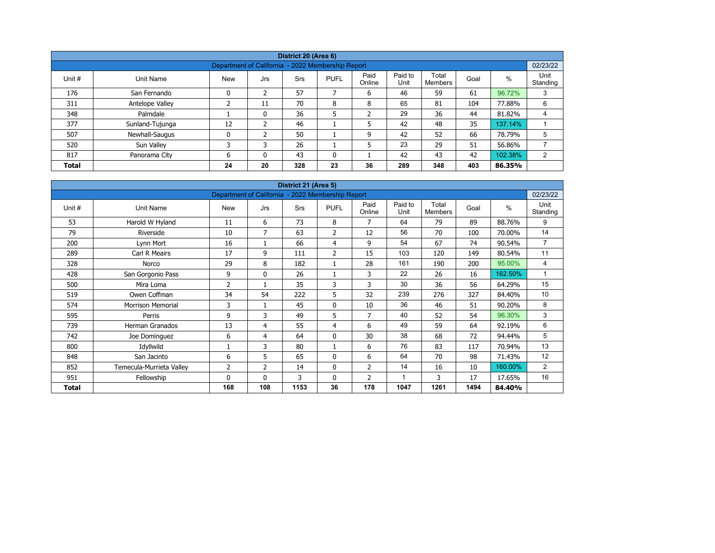| District 20 (Area 6)                                                       |                                                               |            |               |     |             |                |                 |                  |      |         |                  |  |  |  |  |
|----------------------------------------------------------------------------|---------------------------------------------------------------|------------|---------------|-----|-------------|----------------|-----------------|------------------|------|---------|------------------|--|--|--|--|
|                                                                            | 02/23/22<br>Department of California - 2022 Membership Report |            |               |     |             |                |                 |                  |      |         |                  |  |  |  |  |
| Unit #                                                                     | Unit Name                                                     | <b>New</b> | Jrs           | Srs | <b>PUFL</b> | Paid<br>Online | Paid to<br>Unit | Total<br>Members | Goal | $\%$    | Unit<br>Standing |  |  |  |  |
| 176                                                                        | San Fernando                                                  | 0          | 2             | 57  |             | 6              | 46              | 59               | 61   | 96.72%  | 3                |  |  |  |  |
| 311                                                                        | Antelope Valley                                               |            | 11            | 70  | 8           | 8              | 65              | 81               | 104  | 77.88%  | 6                |  |  |  |  |
| 348                                                                        | Palmdale                                                      |            | 0             | 36  | 5           | ำ<br>∠         | 29              | 36               | 44   | 81.82%  | 4                |  |  |  |  |
| 377                                                                        | Sunland-Tujunga                                               | 12         | $\mathcal{P}$ | 46  |             | 5              | 42              | 48               | 35   | 137.14% |                  |  |  |  |  |
| 507                                                                        | Newhall-Saugus                                                | 0          |               | 50  |             | 9              | 42              | 52               | 66   | 78.79%  | 5                |  |  |  |  |
| 520                                                                        | Sun Valley                                                    | 3          | 3             | 26  |             | 5              | 23              | 29               | 51   | 56.86%  |                  |  |  |  |  |
| 817                                                                        | Panorama City                                                 | 6          | $\Omega$      | 43  | 0           |                | 42              | 43               | 42   | 102.38% | 2                |  |  |  |  |
| 20<br>328<br>23<br>289<br>36<br>348<br>403<br>24<br>86.35%<br><b>Total</b> |                                                               |            |               |     |             |                |                 |                  |      |         |                  |  |  |  |  |

| District 21 (Area 5) |                          |                                                   |                |      |                |                |                 |                         |      |         |                  |  |  |
|----------------------|--------------------------|---------------------------------------------------|----------------|------|----------------|----------------|-----------------|-------------------------|------|---------|------------------|--|--|
|                      |                          | Department of California - 2022 Membership Report |                |      |                |                |                 |                         |      |         | 02/23/22         |  |  |
| Unit #               | Unit Name                | <b>New</b>                                        | Jrs            | Srs  | <b>PUFL</b>    | Paid<br>Online | Paid to<br>Unit | Total<br><b>Members</b> | Goal | $\%$    | Unit<br>Standing |  |  |
| 53                   | Harold W Hyland          | 11                                                | 6              | 73   | 8              | $\overline{7}$ | 64              | 79                      | 89   | 88.76%  | 9                |  |  |
| 79                   | Riverside                | 10                                                | $\overline{7}$ | 63   | 2              | 12             | 56              | 70                      | 100  | 70.00%  | 14               |  |  |
| 200                  | Lynn Mort                | 16                                                | 1              | 66   | 4              | 9              | 54              | 67                      | 74   | 90.54%  | $\overline{7}$   |  |  |
| 289                  | Carl R Meairs            | 17                                                | 9              | 111  | $\overline{2}$ | 15             | 103             | 120                     | 149  | 80.54%  | 11               |  |  |
| 328                  | Norco                    | 29                                                | 8              | 182  | 1              | 28             | 161             | 190                     | 200  | 95.00%  | 4                |  |  |
| 428                  | San Gorgonio Pass        | 9                                                 | $\mathbf{0}$   | 26   |                | 3              | 22              | 26                      | 16   | 162.50% | 1                |  |  |
| 500                  | Mira Loma                | 2                                                 | 1              | 35   | 3              | 3              | 30              | 36                      | 56   | 64.29%  | 15               |  |  |
| 519                  | Owen Coffman             | 34                                                | 54             | 222  | 5              | 32             | 239             | 276                     | 327  | 84.40%  | 10               |  |  |
| 574                  | <b>Morrison Memorial</b> | 3                                                 | $\mathbf{1}$   | 45   | 0              | 10             | 36              | 46                      | 51   | 90.20%  | 8                |  |  |
| 595                  | Perris                   | 9                                                 | 3              | 49   | 5              | $\overline{7}$ | 40              | 52                      | 54   | 96.30%  | 3                |  |  |
| 739                  | <b>Herman Granados</b>   | 13                                                | 4              | 55   | 4              | 6              | 49              | 59                      | 64   | 92.19%  | 6                |  |  |
| 742                  | Joe Dominguez            | 6                                                 | 4              | 64   | $\mathbf 0$    | 30             | 38              | 68                      | 72   | 94.44%  | 5                |  |  |
| 800                  | Idyllwild                |                                                   | 3              | 80   | 1              | 6              | 76              | 83                      | 117  | 70.94%  | 13               |  |  |
| 848                  | San Jacinto              | 6                                                 | 5              | 65   | 0              | 6              | 64              | 70                      | 98   | 71.43%  | 12               |  |  |
| 852                  | Temecula-Murrieta Valley | 2                                                 | 2              | 14   | 0              | $\overline{2}$ | 14              | 16                      | 10   | 160.00% | 2                |  |  |
| 951                  | Fellowship               | 0                                                 | $\mathbf{0}$   | 3    | $\mathbf{0}$   | $\overline{2}$ | 1               | 3                       | 17   | 17.65%  | 16               |  |  |
| Total                |                          | 168                                               | 108            | 1153 | 36             | 178            | 1047            | 1261                    | 1494 | 84.40%  |                  |  |  |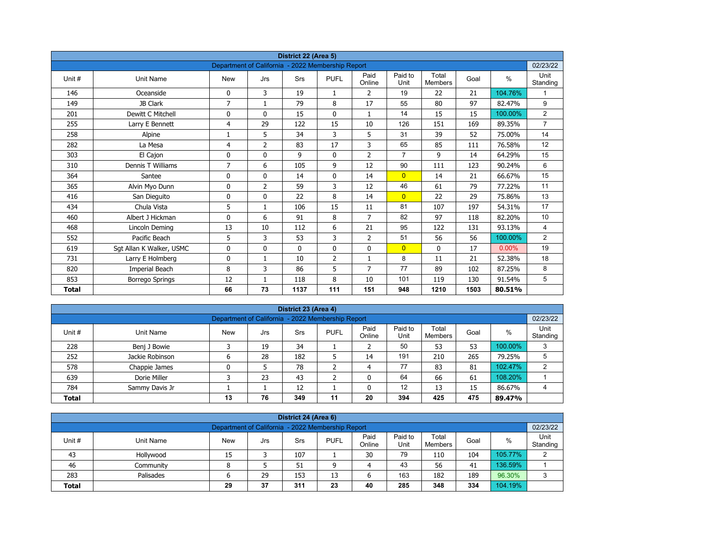| District 22 (Area 5)<br>Department of California - 2022 Membership Report |                          |                |                |             |                |                |                 |                         |      |         |                  |  |  |
|---------------------------------------------------------------------------|--------------------------|----------------|----------------|-------------|----------------|----------------|-----------------|-------------------------|------|---------|------------------|--|--|
|                                                                           |                          |                |                |             |                |                |                 |                         |      |         | 02/23/22         |  |  |
| Unit#                                                                     | <b>Unit Name</b>         | <b>New</b>     | Jrs            | Srs         | <b>PUFL</b>    | Paid<br>Online | Paid to<br>Unit | Total<br><b>Members</b> | Goal | $\%$    | Unit<br>Standing |  |  |
| 146                                                                       | Oceanside                | 0              | 3              | 19          | $\mathbf{1}$   | 2              | 19              | 22                      | 21   | 104.76% | 1                |  |  |
| 149                                                                       | JB Clark                 | $\overline{7}$ | $\mathbf{1}$   | 79          | 8              | 17             | 55              | 80                      | 97   | 82.47%  | 9                |  |  |
| 201                                                                       | Dewitt C Mitchell        | 0              | $\mathbf{0}$   | 15          | $\mathbf{0}$   | $\mathbf{1}$   | 14              | 15                      | 15   | 100.00% | $\overline{2}$   |  |  |
| 255                                                                       | Larry E Bennett          | 4              | 29             | 122         | 15             | 10             | 126             | 151                     | 169  | 89.35%  | $\overline{7}$   |  |  |
| 258                                                                       | Alpine                   | 1              | 5              | 34          | 3              | 5              | 31              | 39                      | 52   | 75.00%  | 14               |  |  |
| 282                                                                       | La Mesa                  | 4              | $\overline{2}$ | 83          | 17             | 3              | 65              | 85                      | 111  | 76.58%  | 12               |  |  |
| 303                                                                       | El Cajon                 | 0              | 0              | 9           | $\mathbf 0$    | $\overline{2}$ | $\overline{7}$  | 9                       | 14   | 64.29%  | 15               |  |  |
| 310                                                                       | Dennis T Williams        | 7              | 6              | 105         | 9              | 12             | 90              | 111                     | 123  | 90.24%  | 6                |  |  |
| 364                                                                       | Santee                   | 0              | 0              | 14          | $\mathbf 0$    | 14             | $\overline{0}$  | 14                      | 21   | 66.67%  | 15               |  |  |
| 365                                                                       | Alvin Myo Dunn           | 0              | $\overline{2}$ | 59          | 3              | 12             | 46              | 61                      | 79   | 77.22%  | 11               |  |  |
| 416                                                                       | San Dieguito             | 0              | $\Omega$       | 22          | 8              | 14             | $\overline{0}$  | 22                      | 29   | 75.86%  | 13               |  |  |
| 434                                                                       | Chula Vista              | 5              | $\mathbf{1}$   | 106         | 15             | 11             | 81              | 107                     | 197  | 54.31%  | 17               |  |  |
| 460                                                                       | Albert J Hickman         | 0              | 6              | 91          | 8              | $\overline{7}$ | 82              | 97                      | 118  | 82.20%  | 10               |  |  |
| 468                                                                       | Lincoln Deming           | 13             | 10             | 112         | 6              | 21             | 95              | 122                     | 131  | 93.13%  | $\overline{4}$   |  |  |
| 552                                                                       | Pacific Beach            | 5              | 3              | 53          | 3              | $\overline{2}$ | 51              | 56                      | 56   | 100.00% | $\overline{2}$   |  |  |
| 619                                                                       | Sgt Allan K Walker, USMC | 0              | 0              | $\mathbf 0$ | $\mathbf 0$    | 0              | $\overline{0}$  | 0                       | 17   | 0.00%   | 19               |  |  |
| 731                                                                       | Larry E Holmberg         | 0              | $\mathbf{1}$   | 10          | $\overline{2}$ | $\mathbf{1}$   | 8               | 11                      | 21   | 52.38%  | 18               |  |  |
| 820                                                                       | Imperial Beach           | 8              | 3              | 86          | 5              | 7              | 77              | 89                      | 102  | 87.25%  | 8                |  |  |
| 853                                                                       | <b>Borrego Springs</b>   | 12             | 1              | 118         | 8              | 10             | 101             | 119                     | 130  | 91.54%  | 5                |  |  |
| <b>Total</b>                                                              |                          | 66             | 73             | 1137        | 111            | 151            | 948             | 1210                    | 1503 | 80.51%  |                  |  |  |

| District 23 (Area 4)                                                       |                                                   |            |     |     |             |                |                 |                  |      |         |                  |  |  |  |  |
|----------------------------------------------------------------------------|---------------------------------------------------|------------|-----|-----|-------------|----------------|-----------------|------------------|------|---------|------------------|--|--|--|--|
|                                                                            | Department of California - 2022 Membership Report |            |     |     |             |                |                 |                  |      |         |                  |  |  |  |  |
| Unit#                                                                      | Unit Name                                         | <b>New</b> | Jrs | Srs | <b>PUFL</b> | Paid<br>Online | Paid to<br>Unit | Total<br>Members | Goal | %       | Unit<br>Standing |  |  |  |  |
| 228                                                                        | Benj J Bowie                                      |            | 19  | 34  |             |                | 50              | 53               | 53   | 100.00% | 3                |  |  |  |  |
| 252                                                                        | Jackie Robinson                                   | 0          | 28  | 182 | ∍           | 14             | 191             | 210              | 265  | 79.25%  | 5                |  |  |  |  |
| 578                                                                        | Chappie James                                     | 0          |     | 78  |             | 4              | 77              | 83               | 81   | 102.47% | C                |  |  |  |  |
| 639                                                                        | Dorie Miller                                      |            | 23  | 43  | ∍           |                | 64              | 66               | 61   | 108.20% |                  |  |  |  |  |
| 784                                                                        | Sammy Davis Jr                                    |            |     | 12  |             | 0              | 12              | 13               | 15   | 86.67%  | 4                |  |  |  |  |
| 76<br>475<br>349<br>11<br>20<br>394<br>425<br>13<br><b>Total</b><br>89.47% |                                                   |            |     |     |             |                |                 |                  |      |         |                  |  |  |  |  |

| District 24 (Area 6)                                                                                                                             |                                                               |    |    |     |    |    |     |     |     |         |   |  |  |  |  |
|--------------------------------------------------------------------------------------------------------------------------------------------------|---------------------------------------------------------------|----|----|-----|----|----|-----|-----|-----|---------|---|--|--|--|--|
|                                                                                                                                                  | 02/23/22<br>Department of California - 2022 Membership Report |    |    |     |    |    |     |     |     |         |   |  |  |  |  |
| Paid<br>Paid to<br>Total<br>Unit #<br><b>PUFL</b><br>%<br>Goal<br>Unit Name<br><b>New</b><br>Srs<br>Jrs<br>Standing<br>Online<br>Unit<br>Members |                                                               |    |    |     |    |    |     |     |     |         |   |  |  |  |  |
| 43                                                                                                                                               | Hollywood                                                     | 15 |    | 107 |    | 30 | 79  | 110 | 104 | 105.77% | C |  |  |  |  |
| 46                                                                                                                                               | Community                                                     | 8  |    | 51  | a  | 4  | 43  | 56  | 41  | 136.59% |   |  |  |  |  |
| 283                                                                                                                                              | Palisades                                                     | 6  | 29 | 153 | 13 | ь  | 163 | 182 | 189 | 96.30%  | 3 |  |  |  |  |
| 285<br>104.19%<br>37<br>311<br>334<br>23<br>348<br>40<br>29<br><b>Total</b>                                                                      |                                                               |    |    |     |    |    |     |     |     |         |   |  |  |  |  |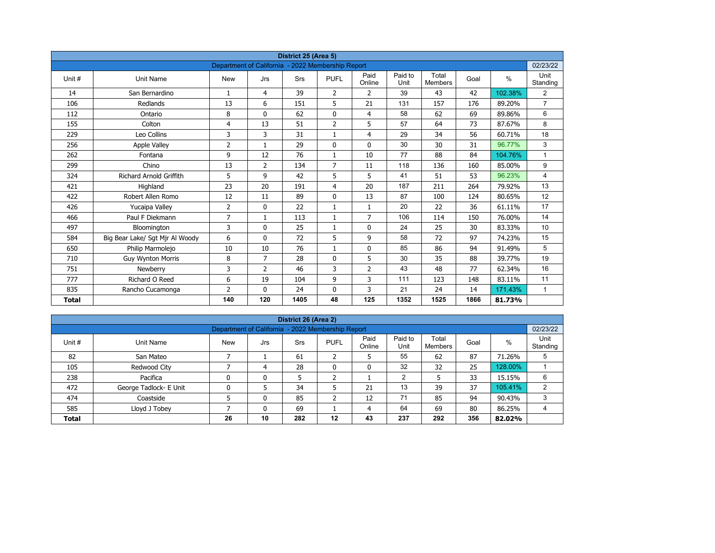| District 25 (Area 5)<br>Department of California - 2022 Membership Report |                                 |                |                |            |                |                |                 |                         |      |         |                  |  |  |
|---------------------------------------------------------------------------|---------------------------------|----------------|----------------|------------|----------------|----------------|-----------------|-------------------------|------|---------|------------------|--|--|
|                                                                           |                                 |                |                |            |                |                |                 |                         |      |         | 02/23/22         |  |  |
| Unit#                                                                     | Unit Name                       | <b>New</b>     | Jrs            | <b>Srs</b> | <b>PUFL</b>    | Paid<br>Online | Paid to<br>Unit | Total<br><b>Members</b> | Goal | $\%$    | Unit<br>Standing |  |  |
| 14                                                                        | San Bernardino                  | $\mathbf{1}$   | 4              | 39         | $\overline{2}$ | $\overline{2}$ | 39              | 43                      | 42   | 102.38% | $\overline{2}$   |  |  |
| 106                                                                       | Redlands                        | 13             | 6              | 151        | 5              | 21             | 131             | 157                     | 176  | 89.20%  | $\overline{7}$   |  |  |
| 112                                                                       | Ontario                         | 8              | $\Omega$       | 62         | $\mathbf 0$    | $\overline{4}$ | 58              | 62                      | 69   | 89.86%  | 6                |  |  |
| 155                                                                       | Colton                          | 4              | 13             | 51         | $\overline{2}$ | 5              | 57              | 64                      | 73   | 87.67%  | 8                |  |  |
| 229                                                                       | Leo Collins                     | 3              | 3              | 31         | $\mathbf{1}$   | $\overline{4}$ | 29              | 34                      | 56   | 60.71%  | 18               |  |  |
| 256                                                                       | <b>Apple Valley</b>             | $\overline{2}$ | $\mathbf{1}$   | 29         | $\mathbf{0}$   | $\mathbf{0}$   | 30              | 30                      | 31   | 96.77%  | 3                |  |  |
| 262                                                                       | Fontana                         | 9              | 12             | 76         | $\mathbf{1}$   | 10             | 77              | 88                      | 84   | 104.76% | $\mathbf{1}$     |  |  |
| 299                                                                       | Chino                           | 13             | $\overline{2}$ | 134        | $\overline{7}$ | 11             | 118             | 136                     | 160  | 85.00%  | 9                |  |  |
| 324                                                                       | <b>Richard Arnold Griffith</b>  | 5              | 9              | 42         | 5              | 5              | 41              | 51                      | 53   | 96.23%  | 4                |  |  |
| 421                                                                       | Highland                        | 23             | 20             | 191        | 4              | 20             | 187             | 211                     | 264  | 79.92%  | 13               |  |  |
| 422                                                                       | Robert Allen Romo               | 12             | 11             | 89         | $\mathbf{0}$   | 13             | 87              | 100                     | 124  | 80.65%  | 12               |  |  |
| 426                                                                       | Yucaipa Valley                  | $\overline{2}$ | 0              | 22         | $\mathbf{1}$   | $\mathbf{1}$   | 20              | 22                      | 36   | 61.11%  | 17               |  |  |
| 466                                                                       | Paul F Diekmann                 | $\overline{7}$ | $\mathbf{1}$   | 113        | $\mathbf{1}$   | $\overline{7}$ | 106             | 114                     | 150  | 76.00%  | 14               |  |  |
| 497                                                                       | Bloomington                     | 3              | 0              | 25         | $\mathbf{1}$   | $\mathbf 0$    | 24              | 25                      | 30   | 83.33%  | 10               |  |  |
| 584                                                                       | Big Bear Lake/ Sgt Mjr Al Woody | 6              | $\mathbf{0}$   | 72         | 5              | 9              | 58              | 72                      | 97   | 74.23%  | 15               |  |  |
| 650                                                                       | Philip Marmolejo                | 10             | 10             | 76         | $\mathbf{1}$   | $\mathbf 0$    | 85              | 86                      | 94   | 91.49%  | 5                |  |  |
| 710                                                                       | <b>Guy Wynton Morris</b>        | 8              | $\overline{7}$ | 28         | $\mathbf{0}$   | 5              | 30              | 35                      | 88   | 39.77%  | 19               |  |  |
| 751                                                                       | Newberry                        | 3              | $\overline{2}$ | 46         | 3              | $\overline{2}$ | 43              | 48                      | 77   | 62.34%  | 16               |  |  |
| 777                                                                       | Richard O Reed                  | 6              | 19             | 104        | 9              | 3              | 111             | 123                     | 148  | 83.11%  | 11               |  |  |
| 835                                                                       | Rancho Cucamonga                | $\overline{2}$ | $\mathbf{0}$   | 24         | 0              | 3              | 21              | 24                      | 14   | 171.43% | $\mathbf{1}$     |  |  |
| <b>Total</b>                                                              |                                 | 140            | 120            | 1405       | 48             | 125            | 1352            | 1525                    | 1866 | 81.73%  |                  |  |  |

| District 26 (Area 2)                                                       |                                                               |              |     |            |              |                |                 |                  |      |         |                  |  |  |  |  |
|----------------------------------------------------------------------------|---------------------------------------------------------------|--------------|-----|------------|--------------|----------------|-----------------|------------------|------|---------|------------------|--|--|--|--|
|                                                                            | Department of California - 2022 Membership Report<br>02/23/22 |              |     |            |              |                |                 |                  |      |         |                  |  |  |  |  |
| Unit #                                                                     | Unit Name                                                     | <b>New</b>   | Jrs | <b>Srs</b> | <b>PUFL</b>  | Paid<br>Online | Paid to<br>Unit | Total<br>Members | Goal | %       | Unit<br>Standing |  |  |  |  |
| 82                                                                         | San Mateo                                                     |              |     | 61         | h<br>L       | 5              | 55              | 62               | 87   | 71.26%  | 5                |  |  |  |  |
| 105                                                                        | Redwood City                                                  |              | 4   | 28         | $\mathbf{0}$ | 0              | 32              | 32               | 25   | 128.00% |                  |  |  |  |  |
| 238                                                                        | Pacifica                                                      | $\mathbf{0}$ | 0   | 5          | h<br>∠       |                | 2               |                  | 33   | 15.15%  | 6                |  |  |  |  |
| 472                                                                        | George Tadlock- E Unit                                        | 0            |     | 34         |              | 21             | 13              | 39               | 37   | 105.41% | 2                |  |  |  |  |
| 474                                                                        | Coastside                                                     |              | 0   | 85         | ำ<br>∠       | 12             | 71              | 85               | 94   | 90.43%  | 3                |  |  |  |  |
| 64<br>585<br>69<br>86.25%<br>Lloyd J Tobey<br>69<br>80<br>0<br>4           |                                                               |              |     |            |              |                |                 |                  |      |         |                  |  |  |  |  |
| 237<br>356<br>10<br>282<br>12<br>292<br>26<br>43<br>82.02%<br><b>Total</b> |                                                               |              |     |            |              |                |                 |                  |      |         |                  |  |  |  |  |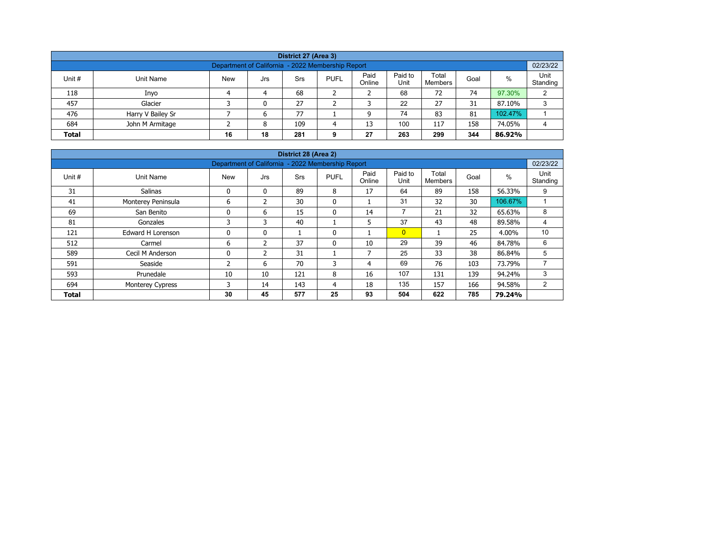| District 27 (Area 3)                                                                                                                                    |                   |  |   |     |   |    |     |     |     |         |   |  |  |  |
|---------------------------------------------------------------------------------------------------------------------------------------------------------|-------------------|--|---|-----|---|----|-----|-----|-----|---------|---|--|--|--|
| Department of California - 2022 Membership Report                                                                                                       |                   |  |   |     |   |    |     |     |     |         |   |  |  |  |
| Paid<br>Paid to<br>Total<br>%<br>Unit #<br><b>New</b><br><b>PUFL</b><br>Unit Name<br>Srs<br>Goal<br>Jrs<br>Unit<br>Online<br>Standing<br><b>Members</b> |                   |  |   |     |   |    |     |     |     |         |   |  |  |  |
| 118                                                                                                                                                     | Inyo              |  | 4 | 68  |   |    | 68  | 72  | 74  | 97.30%  | C |  |  |  |
| 457                                                                                                                                                     | Glacier           |  | 0 | 27  |   |    | 22  | 27  | 31  | 87.10%  | 3 |  |  |  |
| 476                                                                                                                                                     | Harry V Bailey Sr |  | ь | 77  |   |    | 74  | 83  | 81  | 102.47% |   |  |  |  |
| 684                                                                                                                                                     | John M Armitage   |  | 8 | 109 | Δ | 13 | 100 | 117 | 158 | 74.05%  | 4 |  |  |  |
| 18<br>263<br>27<br>299<br>344<br>281<br><b>Total</b><br>16<br>86.92%<br>9                                                                               |                   |  |   |     |   |    |     |     |     |         |   |  |  |  |

| District 28 (Area 2)<br>02/23/22                                           |                                                   |            |               |            |              |                          |                 |                         |      |         |                  |  |  |  |  |
|----------------------------------------------------------------------------|---------------------------------------------------|------------|---------------|------------|--------------|--------------------------|-----------------|-------------------------|------|---------|------------------|--|--|--|--|
|                                                                            | Department of California - 2022 Membership Report |            |               |            |              |                          |                 |                         |      |         |                  |  |  |  |  |
| Unit #                                                                     | Unit Name                                         | <b>New</b> | Jrs           | <b>Srs</b> | <b>PUFL</b>  | Paid<br>Online           | Paid to<br>Unit | Total<br><b>Members</b> | Goal | %       | Unit<br>Standing |  |  |  |  |
| 31                                                                         | <b>Salinas</b>                                    | 0          | $\mathbf{0}$  | 89         | 8            | 17                       | 64              | 89                      | 158  | 56.33%  | 9                |  |  |  |  |
| 41                                                                         | Monterey Peninsula                                | 6          | $\mathcal{P}$ | 30         | $\mathbf{0}$ |                          | 31              | 32                      | 30   | 106.67% |                  |  |  |  |  |
| 69                                                                         | San Benito                                        | 0          | 6             | 15         | 0            | 14                       | $\overline{7}$  | 21                      | 32   | 65.63%  | 8                |  |  |  |  |
| 81                                                                         | Gonzales                                          | 3          | 3             | 40         |              | 5                        | 37              | 43                      | 48   | 89.58%  | 4                |  |  |  |  |
| 121                                                                        | Edward H Lorenson                                 | 0          | $\mathbf{0}$  |            | 0            |                          | $\overline{0}$  |                         | 25   | 4.00%   | 10               |  |  |  |  |
| 512                                                                        | Carmel                                            | 6          | 2             | 37         | $\mathbf{0}$ | 10                       | 29              | 39                      | 46   | 84.78%  | 6                |  |  |  |  |
| 589                                                                        | Cecil M Anderson                                  | 0          | 2             | 31         |              | $\overline{\phantom{a}}$ | 25              | 33                      | 38   | 86.84%  | 5                |  |  |  |  |
| 591                                                                        | Seaside                                           | 2          | 6             | 70         | 3            | 4                        | 69              | 76                      | 103  | 73.79%  | ⇁                |  |  |  |  |
| 593                                                                        | Prunedale                                         | 10         | 10            | 121        | 8            | 16                       | 107             | 131                     | 139  | 94.24%  | 3                |  |  |  |  |
| 694                                                                        | <b>Monterey Cypress</b>                           | 3          | 14            | 143        | 4            | 18                       | 135             | 157                     | 166  | 94.58%  | $\overline{2}$   |  |  |  |  |
| 577<br>25<br>622<br>785<br>30<br>45<br>93<br>504<br>79.24%<br><b>Total</b> |                                                   |            |               |            |              |                          |                 |                         |      |         |                  |  |  |  |  |